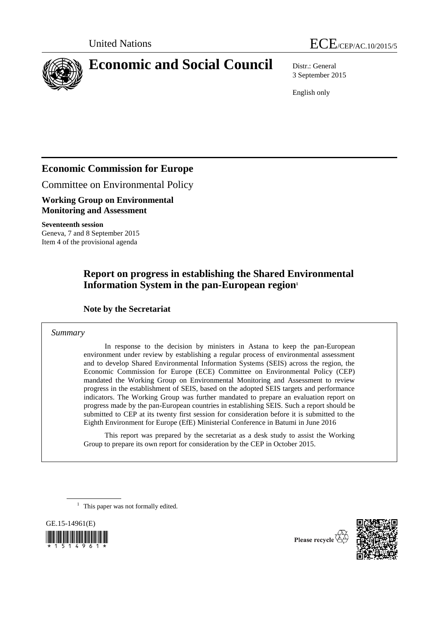



## **Economic and Social Council** Distr.: General

3 September 2015

English only

## **Economic Commission for Europe**

Committee on Environmental Policy

**Working Group on Environmental Monitoring and Assessment**

**Seventeenth session** Geneva, 7 and 8 September 2015 Item 4 of the provisional agenda

## **Report on progress in establishing the Shared Environmental Information System in the pan-European region<sup>1</sup>**

#### **Note by the Secretariat**

#### *Summary*

In response to the decision by ministers in Astana to keep the pan-European environment under review by establishing a regular process of environmental assessment and to develop Shared Environmental Information Systems (SEIS) across the region, the Economic Commission for Europe (ECE) Committee on Environmental Policy (CEP) mandated the Working Group on Environmental Monitoring and Assessment to review progress in the establishment of SEIS, based on the adopted SEIS targets and performance indicators. The Working Group was further mandated to prepare an evaluation report on progress made by the pan-European countries in establishing SEIS. Such a report should be submitted to CEP at its twenty first session for consideration before it is submitted to the Eighth Environment for Europe (EfE) Ministerial Conference in Batumi in June 2016

This report was prepared by the secretariat as a desk study to assist the Working Group to prepare its own report for consideration by the CEP in October 2015.

<sup>1</sup> This paper was not formally edited.

GE.15-14961(E) 



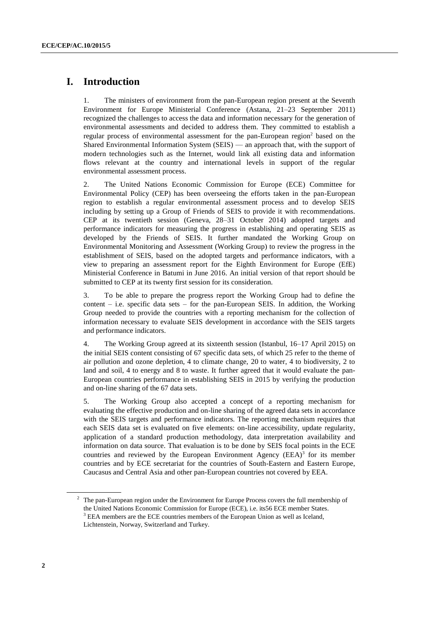### **I. Introduction**

1. The ministers of environment from the pan-European region present at the Seventh Environment for Europe Ministerial Conference (Astana, 21–23 September 2011) recognized the challenges to access the data and information necessary for the generation of environmental assessments and decided to address them. They committed to establish a regular process of environmental assessment for the pan-European region<sup>2</sup> based on the Shared Environmental Information System (SEIS) — an approach that, with the support of modern technologies such as the Internet, would link all existing data and information flows relevant at the country and international levels in support of the regular environmental assessment process.

2. The United Nations Economic Commission for Europe (ECE) Committee for Environmental Policy (CEP) has been overseeing the efforts taken in the pan-European region to establish a regular environmental assessment process and to develop SEIS including by setting up a Group of Friends of SEIS to provide it with recommendations. CEP at its twentieth session (Geneva, 28–31 October 2014) adopted targets and performance indicators for measuring the progress in establishing and operating SEIS as developed by the Friends of SEIS. It further mandated the Working Group on Environmental Monitoring and Assessment (Working Group) to review the progress in the establishment of SEIS, based on the adopted targets and performance indicators, with a view to preparing an assessment report for the Eighth Environment for Europe (EfE) Ministerial Conference in Batumi in June 2016. An initial version of that report should be submitted to CEP at its twenty first session for its consideration.

3. To be able to prepare the progress report the Working Group had to define the content  $-$  i.e. specific data sets  $-$  for the pan-European SEIS. In addition, the Working Group needed to provide the countries with a reporting mechanism for the collection of information necessary to evaluate SEIS development in accordance with the SEIS targets and performance indicators.

4. The Working Group agreed at its sixteenth session (Istanbul, 16–17 April 2015) on the initial SEIS content consisting of 67 specific data sets, of which 25 refer to the theme of air pollution and ozone depletion, 4 to climate change, 20 to water, 4 to biodiversity, 2 to land and soil, 4 to energy and 8 to waste. It further agreed that it would evaluate the pan-European countries performance in establishing SEIS in 2015 by verifying the production and on-line sharing of the 67 data sets.

5. The Working Group also accepted a concept of a reporting mechanism for evaluating the effective production and on-line sharing of the agreed data sets in accordance with the SEIS targets and performance indicators. The reporting mechanism requires that each SEIS data set is evaluated on five elements: on-line accessibility, update regularity, application of a standard production methodology, data interpretation availability and information on data source. That evaluation is to be done by SEIS focal points in the ECE countries and reviewed by the European Environment Agency  $(EEA)^3$  for its member countries and by ECE secretariat for the countries of South-Eastern and Eastern Europe, Caucasus and Central Asia and other pan-European countries not covered by EEA.

<sup>&</sup>lt;sup>2</sup> The pan-European region under the Environment for Europe Process covers the full membership of the United Nations Economic Commission for Europe (ECE), i.e. its56 ECE member States. <sup>3</sup> EEA members are the ECE countries members of the European Union as well as Iceland, Lichtenstein, Norway, Switzerland and Turkey.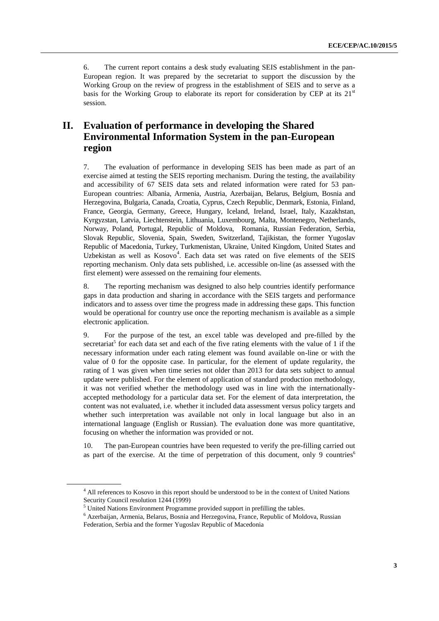6. The current report contains a desk study evaluating SEIS establishment in the pan-European region. It was prepared by the secretariat to support the discussion by the Working Group on the review of progress in the establishment of SEIS and to serve as a basis for the Working Group to elaborate its report for consideration by CEP at its  $21<sup>st</sup>$ session.

### **II. Evaluation of performance in developing the Shared Environmental Information System in the pan-European region**

7. The evaluation of performance in developing SEIS has been made as part of an exercise aimed at testing the SEIS reporting mechanism. During the testing, the availability and accessibility of 67 SEIS data sets and related information were rated for 53 pan-European countries: Albania, Armenia, Austria, Azerbaijan, Belarus, Belgium, Bosnia and Herzegovina, Bulgaria, Canada, Croatia, Cyprus, Czech Republic, Denmark, Estonia, Finland, France, Georgia, Germany, Greece, Hungary, Iceland, Ireland, Israel, Italy, Kazakhstan, Kyrgyzstan, Latvia, Liechtenstein, Lithuania, Luxembourg, Malta, Montenegro, Netherlands, Norway, Poland, Portugal, Republic of Moldova, Romania, Russian Federation, Serbia, Slovak Republic, Slovenia, Spain, Sweden, Switzerland, Tajikistan, the former Yugoslav Republic of Macedonia, Turkey, Turkmenistan, Ukraine, United Kingdom, United States and Uzbekistan as well as Kosovo<sup>4</sup>. Each data set was rated on five elements of the SEIS reporting mechanism. Only data sets published, i.e. accessible on-line (as assessed with the first element) were assessed on the remaining four elements.

8. The reporting mechanism was designed to also help countries identify performance gaps in data production and sharing in accordance with the SEIS targets and performance indicators and to assess over time the progress made in addressing these gaps. This function would be operational for country use once the reporting mechanism is available as a simple electronic application.

9. For the purpose of the test, an excel table was developed and pre-filled by the secretariat<sup>5</sup> for each data set and each of the five rating elements with the value of 1 if the necessary information under each rating element was found available on-line or with the value of 0 for the opposite case. In particular, for the element of update regularity, the rating of 1 was given when time series not older than 2013 for data sets subject to annual update were published. For the element of application of standard production methodology, it was not verified whether the methodology used was in line with the internationallyaccepted methodology for a particular data set. For the element of data interpretation, the content was not evaluated, i.e. whether it included data assessment versus policy targets and whether such interpretation was available not only in local language but also in an international language (English or Russian). The evaluation done was more quantitative, focusing on whether the information was provided or not.

10. The pan-European countries have been requested to verify the pre-filling carried out as part of the exercise. At the time of perpetration of this document, only 9 countries<sup>6</sup>

<sup>4</sup> All references to Kosovo in this report should be understood to be in the context of United Nations Security Council resolution 1244 (1999)

<sup>5</sup> United Nations Environment Programme provided support in prefilling the tables.

 $^6$  Azerbaijan, Armenia, Belarus, Bosnia and Herzegovina, France, Republic of Moldova, Russian Federation, Serbia and the former Yugoslav Republic of Macedonia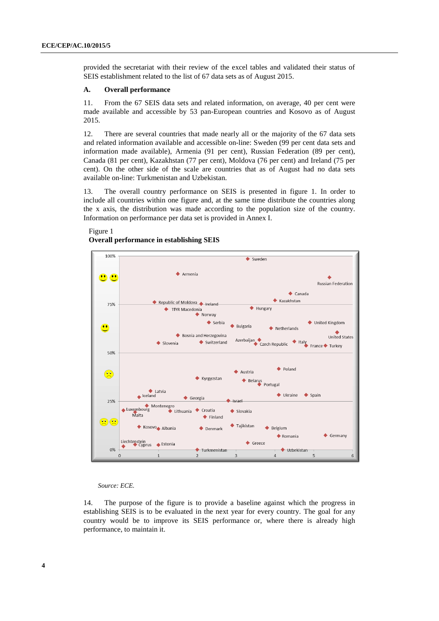provided the secretariat with their review of the excel tables and validated their status of SEIS establishment related to the list of 67 data sets as of August 2015.

#### **A. Overall performance**

11. From the 67 SEIS data sets and related information, on average, 40 per cent were made available and accessible by 53 pan-European countries and Kosovo as of August 2015.

12. There are several countries that made nearly all or the majority of the 67 data sets and related information available and accessible on-line: Sweden (99 per cent data sets and information made available), Armenia (91 per cent), Russian Federation (89 per cent), Canada (81 per cent), Kazakhstan (77 per cent), Moldova (76 per cent) and Ireland (75 per cent). On the other side of the scale are countries that as of August had no data sets available on-line: Turkmenistan and Uzbekistan.

13. The overall country performance on SEIS is presented in figure 1. In order to include all countries within one figure and, at the same time distribute the countries along the x axis, the distribution was made according to the population size of the country. Information on performance per data set is provided in Annex I.

#### Figure 1 **Overall performance in establishing SEIS**



*Source: ECE.*

14. The purpose of the figure is to provide a baseline against which the progress in establishing SEIS is to be evaluated in the next year for every country. The goal for any country would be to improve its SEIS performance or, where there is already high performance, to maintain it.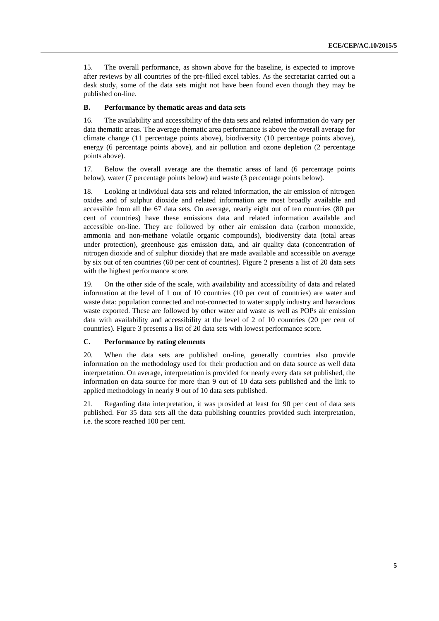15. The overall performance, as shown above for the baseline, is expected to improve after reviews by all countries of the pre-filled excel tables. As the secretariat carried out a desk study, some of the data sets might not have been found even though they may be published on-line.

#### **B. Performance by thematic areas and data sets**

16. The availability and accessibility of the data sets and related information do vary per data thematic areas. The average thematic area performance is above the overall average for climate change (11 percentage points above), biodiversity (10 percentage points above), energy (6 percentage points above), and air pollution and ozone depletion (2 percentage points above).

17. Below the overall average are the thematic areas of land (6 percentage points below), water (7 percentage points below) and waste (3 percentage points below).

18. Looking at individual data sets and related information, the air emission of nitrogen oxides and of sulphur dioxide and related information are most broadly available and accessible from all the 67 data sets. On average, nearly eight out of ten countries (80 per cent of countries) have these emissions data and related information available and accessible on-line. They are followed by other air emission data (carbon monoxide, ammonia and non-methane volatile organic compounds), biodiversity data (total areas under protection), greenhouse gas emission data, and air quality data (concentration of nitrogen dioxide and of sulphur dioxide) that are made available and accessible on average by six out of ten countries (60 per cent of countries). Figure 2 presents a list of 20 data sets with the highest performance score.

19. On the other side of the scale, with availability and accessibility of data and related information at the level of 1 out of 10 countries (10 per cent of countries) are water and waste data: population connected and not-connected to water supply industry and hazardous waste exported. These are followed by other water and waste as well as POPs air emission data with availability and accessibility at the level of 2 of 10 countries (20 per cent of countries). Figure 3 presents a list of 20 data sets with lowest performance score.

#### **C. Performance by rating elements**

20. When the data sets are published on-line, generally countries also provide information on the methodology used for their production and on data source as well data interpretation. On average, interpretation is provided for nearly every data set published, the information on data source for more than 9 out of 10 data sets published and the link to applied methodology in nearly 9 out of 10 data sets published.

21. Regarding data interpretation, it was provided at least for 90 per cent of data sets published. For 35 data sets all the data publishing countries provided such interpretation, i.e. the score reached 100 per cent.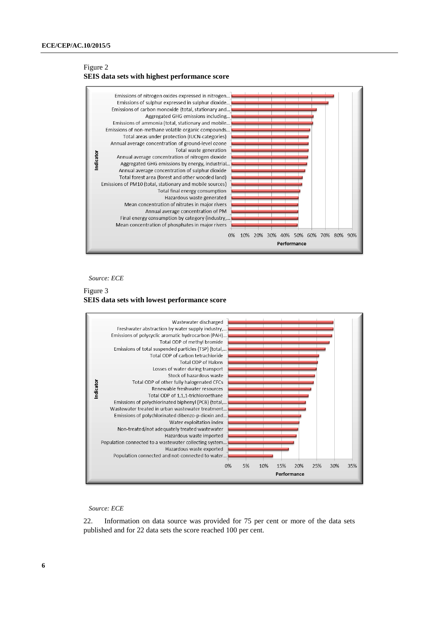#### Figure 2 **SEIS data sets with highest performance score**



*Source: ECE*

#### Figure 3 **SEIS data sets with lowest performance score**



#### *Source: ECE*

22. Information on data source was provided for 75 per cent or more of the data sets published and for 22 data sets the score reached 100 per cent.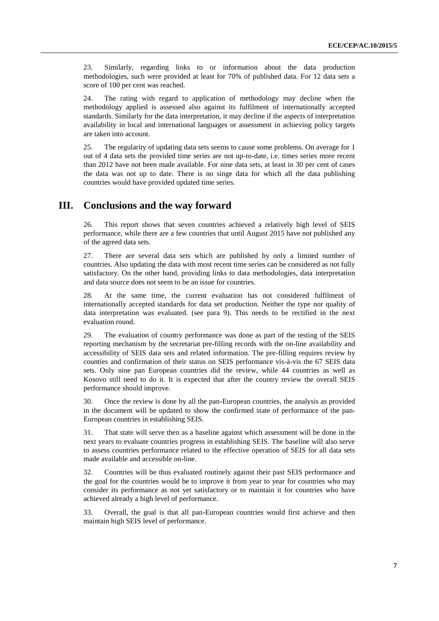23. Similarly, regarding links to or information about the data production methodologies, such were provided at least for 70% of published data. For 12 data sets a score of 100 per cent was reached.

24. The rating with regard to application of methodology may decline when the methodology applied is assessed also against its fulfilment of internationally accepted standards. Similarly for the data interpretation, it may decline if the aspects of interpretation availability in local and international languages or assessment in achieving policy targets are taken into account.

25. The regularity of updating data sets seems to cause some problems. On average for 1 out of 4 data sets the provided time series are not up-to-date, i.e. times series more recent than 2012 have not been made available. For nine data sets, at least in 30 per cent of cases the data was not up to date. There is no singe data for which all the data publishing countries would have provided updated time series.

#### **III. Conclusions and the way forward**

26. This report shows that seven countries achieved a relatively high level of SEIS performance, while there are a few countries that until August 2015 have not published any of the agreed data sets.

27. There are several data sets which are published by only a limited number of countries. Also updating the data with most recent time series can be considered as not fully satisfactory. On the other hand, providing links to data methodologies, data interpretation and data source does not seem to be an issue for countries.

28. At the same time, the current evaluation has not considered fulfilment of internationally accepted standards for data set production. Neither the type nor quality of data interpretation was evaluated. (see para 9). This needs to be rectified in the next evaluation round.

29. The evaluation of country performance was done as part of the testing of the SEIS reporting mechanism by the secretariat pre-filling records with the on-line availability and accessibility of SEIS data sets and related information. The pre-filling requires review by counties and confirmation of their status on SEIS performance vis-à-vis the 67 SEIS data sets. Only nine pan European countries did the review, while 44 countries as well as Kosovo still need to do it. It is expected that after the country review the overall SEIS performance should improve.

30. Once the review is done by all the pan-European countries, the analysis as provided in the document will be updated to show the confirmed state of performance of the pan-European countries in establishing SEIS.

31. That state will serve then as a baseline against which assessment will be done in the next years to evaluate countries progress in establishing SEIS. The baseline will also serve to assess countries performance related to the effective operation of SEIS for all data sets made available and accessible on-line.

32. Countries will be thus evaluated routinely against their past SEIS performance and the goal for the countries would be to improve it from year to year for countries who may consider its performance as not yet satisfactory or to maintain it for countries who have achieved already a high level of performance.

33. Overall, the goal is that all pan-European countries would first achieve and then maintain high SEIS level of performance.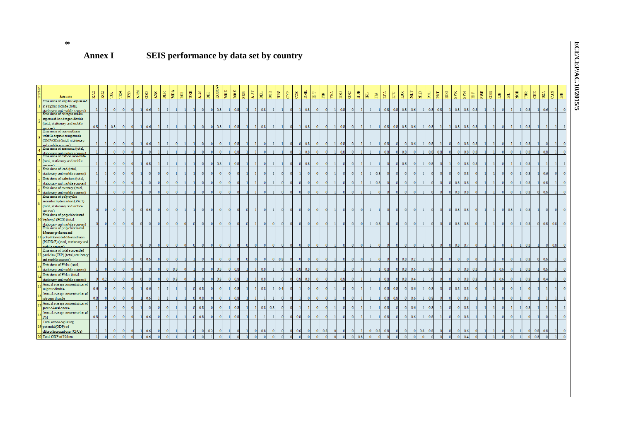#### **8**

## **Annex I SEIS performance by data set by country**

| data sets                                                       | KAZ              | KGZ | $\overline{\rm m}$ | TKM<br>$_{\rm U2B}$ | ARM      | $rac{1}{100}$ | $\mathbf{AZE}$ | $_{\rm BLR}$ | MDA<br><b>SIDS</b> | UKR | $\mathbf{A} \mathbf{I} \mathbf{B}$ | KOSON<br>$_{\rm BH}$ | $_{\rm MKD}$ | MNE | ${\tt SRB}$ | $\Lambda \text{UT}$ | $_{\rm BGR}$<br>$_{\rm BH}$ | $_{\rm{HRV}}$ | ξP  | $2\mathbb{Z}$ | DNK | $_{\rm B}$<br><b>NH</b> | ERA | DEU | GRC | HUN | <b>E</b> | Ě   | $_{\rm IVA}$ | xm<br>$\mathbb{H}$ | $_{\rm MLT}$          | $\Xi$ | <b>E</b> | PRT | ROU      | <b>SVK</b>    | $_{\rm N\,N}$<br>$\overline{\mathbf{B}}$ | SWE  | GBR | $\Xi$    | $\overline{\rm{181}}$ | NOR | $\widetilde{\mathbb{H}}$<br>E | USA                   | $_{\rm CAN}$ | $_{\rm{gg}}$ |
|-----------------------------------------------------------------|------------------|-----|--------------------|---------------------|----------|---------------|----------------|--------------|--------------------|-----|------------------------------------|----------------------|--------------|-----|-------------|---------------------|-----------------------------|---------------|-----|---------------|-----|-------------------------|-----|-----|-----|-----|----------|-----|--------------|--------------------|-----------------------|-------|----------|-----|----------|---------------|------------------------------------------|------|-----|----------|-----------------------|-----|-------------------------------|-----------------------|--------------|--------------|
| Emissions of sulp hur expressed<br>in sulphur dioxide (total,   |                  |     |                    |                     |          |               |                |              |                    |     |                                    |                      |              |     |             |                     |                             |               |     |               |     |                         |     |     |     |     |          |     |              |                    |                       |       |          |     |          |               |                                          |      |     |          |                       |     |                               |                       |              |              |
| stationary and mobile sources)<br>Emissions of nitrogen oxides  |                  |     |                    |                     |          | 0.6           |                |              |                    |     |                                    | 0.8                  |              | 0.8 |             |                     | 0.8                         |               |     |               | 0.8 |                         |     | 0.8 |     |     |          |     | 0.8          | $0.8$ 0.8          | 0.6                   |       | 0.8      | 0.8 |          | 0.8           | 0.8                                      | 0.8  |     |          |                       |     | 0.8                           | 0.6                   |              |              |
| expressed in nitrogen dioxide                                   |                  |     |                    |                     |          |               |                |              |                    |     |                                    |                      |              |     |             |                     |                             |               |     |               |     |                         |     |     |     |     |          |     |              |                    |                       |       |          |     |          |               |                                          |      |     |          |                       |     |                               |                       |              |              |
| (total, stationary and mobile<br>cures)                         | 0.8              |     | 0.8                |                     |          | 0.6           |                |              |                    |     | $\Omega$                           | 0.8<br>-OI           |              | 0.8 |             |                     | 0.8                         |               |     |               | 0.8 |                         |     | 0.8 |     |     |          |     | 0.8          | $0.8$ 0.8          | 0.6                   |       | 0.8      |     |          | 0.8           | 0.8                                      | 0.8  |     |          |                       |     | 0.8                           |                       |              |              |
| Emissions of non-methane<br>volatile organic compounds          |                  |     |                    |                     |          |               |                |              |                    |     |                                    |                      |              |     |             |                     |                             |               |     |               |     |                         |     |     |     |     |          |     |              |                    |                       |       |          |     |          |               |                                          |      |     |          |                       |     |                               |                       |              |              |
| (NMVOCs) (total, stationary                                     |                  |     |                    |                     |          |               |                |              |                    |     |                                    |                      |              |     |             |                     |                             |               |     |               |     |                         |     |     |     |     |          |     |              |                    |                       |       |          |     |          |               |                                          |      |     |          |                       |     |                               |                       |              |              |
| and mobile scurees)                                             |                  |     |                    |                     |          | 0.6           |                |              |                    |     |                                    |                      |              | 0.8 |             |                     |                             |               |     |               | 0.8 |                         |     | 0.8 |     |     |          |     | 0.8          |                    | 0.6<br>$\overline{0}$ |       | 0.8      |     |          |               | 0.8                                      | 0.8  |     |          |                       |     | 0.8                           |                       |              |              |
| Emissions of ammonia (total,                                    |                  |     |                    | $\Omega$            | $\Omega$ |               |                |              |                    |     |                                    |                      | $\Omega$     | 0.8 |             |                     |                             |               |     |               | 0.8 |                         |     | 0.8 |     |     |          |     | 0.8          | 0.8                |                       |       | 0.8      | 0.8 |          |               | 0.8                                      | 0.8  |     | $\Omega$ |                       |     | 0.8                           | 0.8                   |              |              |
| stationary and mobile sources).<br>Emissions of carbon monoxide |                  |     |                    |                     |          |               |                |              |                    |     |                                    |                      |              |     |             |                     |                             |               |     |               |     |                         |     |     |     |     |          |     |              |                    |                       |       |          |     |          |               |                                          |      |     |          |                       |     |                               |                       |              |              |
| (total, stationary and mobile<br>Caseron)                       |                  |     |                    |                     |          | 0.8           |                |              |                    |     |                                    | 0.8                  |              | 0.8 |             |                     |                             |               |     |               | 0.8 |                         |     |     |     |     |          |     |              | 0.8                |                       |       | 0.8      |     |          |               | 0.8                                      | 0.8  |     |          |                       |     | 0.8                           |                       |              |              |
| Emissions of lead (total,                                       |                  |     |                    |                     |          |               |                |              |                    |     |                                    |                      |              |     |             |                     |                             |               |     |               |     |                         |     |     |     |     |          |     |              |                    |                       |       |          |     |          |               |                                          |      |     |          |                       |     |                               |                       |              |              |
| stationary and mobile sources)<br>Emissions of eadmium (total,  |                  |     |                    |                     |          |               |                |              |                    |     |                                    |                      |              |     |             |                     |                             |               |     |               |     |                         |     |     |     |     |          | 0.8 |              |                    |                       |       |          |     |          |               | 0.8                                      |      |     |          |                       |     | 0.8                           | 0.6                   |              |              |
| stationary and mobile sources)                                  |                  |     |                    |                     |          |               |                |              |                    |     |                                    |                      |              |     |             |                     |                             |               |     |               |     |                         |     |     |     |     |          | 0.8 |              |                    |                       |       |          |     |          | 0.8           | 0.8                                      |      |     |          |                       |     | 0.8                           | 0.8                   |              |              |
| Emissions of mercury (total,                                    |                  |     |                    |                     |          |               |                |              |                    |     |                                    |                      |              |     |             |                     |                             |               |     |               |     |                         |     |     |     |     |          |     |              |                    |                       |       |          |     |          |               |                                          |      |     |          |                       |     |                               |                       |              |              |
| stationary and mobile sources)<br>Emissions of polycyclic       |                  |     |                    |                     |          |               |                |              |                    |     |                                    |                      |              |     |             |                     |                             |               |     |               |     |                         |     |     |     |     |          |     |              |                    |                       |       |          |     |          | 0.8           | 0.8                                      |      |     |          |                       |     | 0.8                           | 0.6                   |              |              |
| aromatic hydrocarbon (PAH)                                      |                  |     |                    |                     |          |               |                |              |                    |     |                                    |                      |              |     |             |                     |                             |               |     |               |     |                         |     |     |     |     |          |     |              |                    |                       |       |          |     |          |               |                                          |      |     |          |                       |     |                               |                       |              |              |
| (total, stationary and mobile                                   |                  |     |                    |                     |          |               |                |              |                    |     |                                    |                      |              |     |             |                     |                             |               |     |               |     |                         |     |     |     |     |          |     |              |                    |                       |       |          |     |          |               |                                          |      |     |          |                       |     |                               |                       |              |              |
| icurces).<br>Emissions of polychlorinated                       |                  |     |                    |                     |          | 0.6           |                |              |                    |     |                                    |                      |              |     |             |                     |                             |               |     |               |     |                         |     |     |     |     |          |     |              |                    |                       |       |          |     | - OI     | 0.8           | 0.8                                      |      |     | n        | 0.81                  |     | 0.8                           |                       |              |              |
| biphenyl (PCB) (total,                                          |                  |     |                    |                     |          |               |                |              |                    |     |                                    |                      |              |     |             |                     |                             |               |     |               |     |                         |     |     |     |     |          |     |              |                    |                       |       |          |     |          |               |                                          |      |     |          |                       |     |                               |                       |              |              |
| stationary and mobile sources)<br>Emissions of polychlorinated  |                  |     |                    |                     |          |               |                |              |                    |     |                                    |                      |              |     |             |                     |                             |               |     |               |     |                         |     |     |     |     |          | 0.8 | - Ol         |                    | $\Omega$              |       |          |     | - Ol     | 0.8           | 0.8                                      |      |     |          |                       |     | 0.8                           | $ 0 $ $ 0.8 $ $ 0.8 $ |              |              |
| dibenzo-p-dioxin and                                            |                  |     |                    |                     |          |               |                |              |                    |     |                                    |                      |              |     |             |                     |                             |               |     |               |     |                         |     |     |     |     |          |     |              |                    |                       |       |          |     |          |               |                                          |      |     |          |                       |     |                               |                       |              |              |
| polychlorinated dib enz ofuran                                  |                  |     |                    |                     |          |               |                |              |                    |     |                                    |                      |              |     |             |                     |                             |               |     |               |     |                         |     |     |     |     |          |     |              |                    |                       |       |          |     |          |               |                                          |      |     |          |                       |     |                               |                       |              |              |
| (PCDD/F) (total, stationary and                                 |                  |     |                    |                     |          |               |                |              |                    |     |                                    |                      |              |     |             |                     |                             |               |     |               |     |                         |     |     |     |     |          |     |              |                    |                       |       |          |     |          | $ 0 $ $ 0.8 $ | 0.7                                      |      |     |          |                       |     | 0.8                           |                       | 0.8          |              |
| (amma slidon<br>Emissions of total suspended                    |                  |     |                    |                     |          |               |                |              |                    |     |                                    |                      |              |     |             |                     |                             |               |     |               |     |                         |     |     |     |     |          |     |              |                    |                       |       |          |     |          |               |                                          |      |     |          |                       |     |                               |                       |              |              |
| particles (TSP) (total, stationary                              |                  |     |                    |                     |          |               |                |              |                    |     |                                    |                      |              |     |             |                     |                             |               |     |               |     |                         |     |     |     |     |          |     |              |                    |                       |       |          |     |          |               |                                          |      |     |          |                       |     |                               |                       |              |              |
| and mobile sources)                                             |                  |     |                    |                     |          | 0.6           |                |              |                    |     |                                    |                      |              |     |             |                     |                             | 0.8           |     |               |     |                         |     |     |     |     |          |     |              | 0.8<br>$\Omega$    | 0.2                   |       |          |     |          |               |                                          |      |     |          |                       |     | 0.8                           | 0.6                   |              |              |
| Emissions of PM10 (total,<br>stationary and mobile sources)     |                  |     |                    |                     |          |               |                |              | 0.8                |     |                                    | 0.8                  |              | 0.8 |             |                     | 0.8                         |               |     | 0.8           | 0.8 |                         |     |     |     |     |          |     | 0.8          | 0.8                | 0.6                   |       | 0.8      |     |          |               | 0.8                                      | 0.81 |     | 0.6      |                       |     | 0.8                           | 0.6                   |              |              |
| Emissions of PM25 (total                                        |                  |     |                    |                     |          |               |                |              |                    |     |                                    |                      |              |     |             |                     |                             |               |     |               |     |                         |     |     |     |     |          |     |              |                    |                       |       |          |     |          |               |                                          |      |     |          |                       |     |                               |                       |              |              |
| stationary and mobile sources)                                  |                  | 0.2 |                    |                     |          |               |                |              | 0.8                |     |                                    | 0.8                  |              | 0.8 |             |                     | 0.8                         |               |     | 0.8           | 0.8 |                         |     | 0.8 |     |     |          |     | 0.8          |                    | 0.4<br>0.8            |       |          |     |          |               | 0.8                                      | 0.8  |     | 0.6      |                       |     | 0.8                           | 0.4                   |              |              |
| Annual average concentration of                                 | 0.6 <sub>1</sub> |     |                    |                     |          | 0.6           |                |              |                    |     | 0.8                                |                      | $\Omega$     | 0.8 |             |                     | 0.8                         | 0.4           |     |               |     |                         |     |     |     |     |          |     | 0.8          | 0.8                | 0.6<br>- Ol           |       | 0.8      |     | $\Omega$ | 0.8           | 0.8                                      |      |     |          |                       |     |                               |                       |              |              |
| sulphur dioxide<br>Annual average concentration of              |                  |     |                    |                     |          |               |                |              |                    |     |                                    |                      |              |     |             |                     |                             |               |     |               |     |                         |     |     |     |     |          |     |              |                    |                       |       |          |     |          |               |                                          |      |     |          |                       |     |                               |                       |              |              |
| nitrogen dioxide                                                | 0.8              |     |                    |                     |          | 0.6           |                |              |                    |     | 0.8                                |                      |              | 0.8 |             |                     |                             |               |     |               |     |                         |     |     |     |     |          |     | 0.8          | 0.8                | 0.6<br>$\Omega$       |       | 0.8      |     |          |               | 0.8                                      |      |     |          |                       |     |                               |                       |              |              |
| Annual average concentration of                                 |                  |     |                    |                     |          |               |                |              |                    |     |                                    |                      |              |     |             |                     |                             |               |     |               |     |                         |     |     |     |     |          |     |              |                    |                       |       |          |     |          |               |                                          |      |     |          |                       |     |                               |                       |              |              |
| ground-level ozone<br>Annual average concentration of           |                  |     |                    |                     |          |               |                |              |                    |     | 0.8                                |                      |              | 0.8 |             |                     | 0.8                         | 0.8           |     |               |     |                         |     |     |     |     |          |     | 0.8          |                    | 0.6<br>$\Omega$       |       | 0.8      |     |          |               | 0.8                                      |      |     |          |                       |     | 0.8                           |                       |              |              |
| <b>PM</b>                                                       | 0.8              |     |                    |                     |          | 0.6           |                |              |                    |     | 0.8                                |                      |              | 0.8 |             |                     |                             |               | -01 | 0.8           |     |                         |     |     |     |     |          |     | 0.8          |                    | 0.6<br>$\Omega$       |       | 0.8      |     |          |               | 0.8                                      |      |     |          |                       |     |                               |                       |              |              |
| Total ozone depleting                                           |                  |     |                    |                     |          |               |                |              |                    |     |                                    |                      |              |     |             |                     |                             |               |     |               |     |                         |     |     |     |     |          |     |              |                    |                       |       |          |     |          |               |                                          |      |     |          |                       |     |                               |                       |              |              |
| potential(ODP) of<br>chlorofluorocarbons (CFCs)                 |                  |     |                    |                     |          | 0.6           |                |              |                    |     |                                    | 0.2                  |              |     |             |                     | 0.8                         |               |     | 0.6           |     |                         | 0.8 |     |     |     |          | 0.8 | 0.8          |                    |                       | 0.8   | 0.8      |     |          |               | 0.6                                      |      |     |          |                       |     |                               | 0.8<br>0.8            |              |              |
| Total ODP of Halons                                             |                  |     |                    |                     |          | 06            |                |              |                    |     |                                    |                      |              |     |             |                     |                             |               |     |               |     |                         |     |     |     | 0.8 |          |     |              |                    |                       |       |          |     |          |               | 0.4                                      |      |     |          |                       |     |                               |                       |              |              |
|                                                                 |                  |     |                    |                     |          |               |                |              |                    |     |                                    |                      |              |     |             |                     |                             |               |     |               |     |                         |     |     |     |     |          |     |              |                    |                       |       |          |     |          |               |                                          |      |     |          |                       |     |                               |                       |              |              |

# ECE/CEP/AC.10/2015/5 **ECE/CEP/AC.10/2015/5**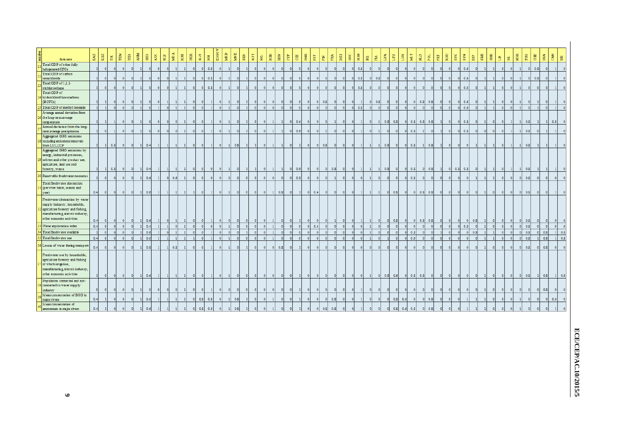| data sets                                                                                                                                                              | $_{\rm{KAZ}}$ | KGZ             | ткм<br>$\mathbb H$ |              | ARM<br>$\mathbb{B}$ | ${\tt GEO}$         | $\mathbb{A}\mathbb{Z} \mathbb{E}$ | $_{\rm \texttt{BIR}}$ | M <sub>D</sub> A | $_{\rm RUS}$ | UKR       | $_{\rm ALB}$   | $\overline{\Xi}$ | KOSO           | MKD      | MNE<br>$\overline{\text{SB}}$ | ĀUТ       | $\mathbb{B}^1$ | $_{\rm BGR}$                | <b>EK</b> | £,                      | C2E                 | DNK            | EST                      | Ě              | $_{\rm DEU}$<br>FRA | $_{\rm {GRC}}$ | $\Xi$           | $\ensuremath{\mathbb{E}}$ | $\mathbb{H}$ | $_{\rm LVA}$             | $\overline{\mathrm{E}}$ | $M\!L$<br>$_{\rm LUX}$ | $\frac{\Omega}{\Omega}$ | POL        | $_{\rm {FRT}}$ | ROU          | $_{\rm SNK}$ | KMS        | $_{\rm{ESP}}$ | SWE         | $_{\rm GBR}$ | Ħ         | NOR<br>E,    | $\overline{\rm \bf m}$ | CHE                     | $_{\rm LSR}$   | CAN<br><b>BR</b>    |
|------------------------------------------------------------------------------------------------------------------------------------------------------------------------|---------------|-----------------|--------------------|--------------|---------------------|---------------------|-----------------------------------|-----------------------|------------------|--------------|-----------|----------------|------------------|----------------|----------|-------------------------------|-----------|----------------|-----------------------------|-----------|-------------------------|---------------------|----------------|--------------------------|----------------|---------------------|----------------|-----------------|---------------------------|--------------|--------------------------|-------------------------|------------------------|-------------------------|------------|----------------|--------------|--------------|------------|---------------|-------------|--------------|-----------|--------------|------------------------|-------------------------|----------------|---------------------|
| Total ODP of other fully<br>halogenated CFCs                                                                                                                           |               | $\Omega$        |                    | $\Omega$     |                     |                     |                                   |                       |                  |              | $\Omega$  | -0             | 0.8              | $\overline{0}$ |          | $\circ$                       |           |                | $\overline{0}$<br>$\theta$  |           | $\mathbf{0}$            |                     | $\overline{0}$ |                          |                |                     | $\mathbf{0}$   | 0.8             |                           | $\mathbf{0}$ |                          |                         |                        |                         |            |                |              |              | 0.6        |               |             |              | $\Omega$  | $\mathbf{0}$ | $\bullet$              | 0.8                     | $\overline{0}$ |                     |
| Total ODP of carbon                                                                                                                                                    |               |                 |                    |              |                     |                     |                                   |                       |                  |              |           |                |                  |                |          |                               |           |                |                             |           |                         |                     |                |                          |                |                     |                |                 |                           |              |                          |                         |                        |                         |            |                |              |              |            |               |             |              |           |              |                        |                         |                |                     |
| tetrachioride<br>Total ODP of 1,1,1-                                                                                                                                   |               |                 |                    |              |                     |                     |                                   |                       |                  |              |           | $\mathbf{0}$   | 0.8              |                |          |                               |           |                | $\theta$                    |           |                         |                     |                |                          |                |                     | $\Omega$       | 0.8             |                           | 0.8          |                          |                         |                        |                         |            |                |              |              | 0.6        |               |             |              |           |              | $\theta$               | 0.8                     |                |                     |
| trichloroethane                                                                                                                                                        |               |                 |                    |              |                     |                     |                                   |                       |                  |              | $\circ$   | $\mathbf{0}$   | 0.8              | $\circ$        |          | $\mathbf{0}$                  |           |                | $\overline{0}$<br>$\Omega$  |           | $\overline{0}$          |                     | $\bullet$      | $\Omega$                 | $\Omega$       |                     | $\circ$        | 0.8             |                           |              |                          |                         |                        | $\Omega$                |            |                |              | $\Omega$     | 0.6        |               |             |              |           | $\mathbf{0}$ |                        |                         |                |                     |
| Total ODP of<br>hy drochlorof horocarbons<br>(HCFCs)                                                                                                                   |               |                 |                    |              |                     |                     |                                   |                       |                  |              |           |                |                  | $\Omega$       |          |                               |           |                |                             |           | $\circ$                 |                     | $\theta$       | $\bullet$                | 0.8            |                     | $\Omega$       |                 |                           | 0.8          |                          |                         |                        | 0.8<br>$\bullet$        | 0.8        |                |              | $\bullet$    | 0.6        |               |             |              |           |              |                        |                         |                |                     |
| Total ODP of methyl bromide                                                                                                                                            |               |                 |                    | $\circ$      |                     |                     |                                   |                       |                  |              | $\bullet$ | $\mathfrak{a}$ |                  | $\circ$        |          | $\mathbf{0}$                  |           |                | $\bullet$<br>$\Omega$       | $\theta$  | $\bullet$               | $\circ$             | $\overline{0}$ | $\circ$                  | -ol            |                     | 0              | 0.8<br>$\Omega$ | -ol                       | $\bullet$    | $\circ$                  | $\circ$                 |                        | $\circ$                 | $\sqrt{2}$ |                | $\mathbf{0}$ | $\Omega$     | 0.6        |               |             |              | $\theta$  | $\circ$      | $\circ$                |                         | $\overline{0}$ |                     |
| A verage annual deviation from<br>the long-term average                                                                                                                |               |                 |                    | $\Omega$     |                     |                     |                                   |                       |                  |              | $\Omega$  | -0             |                  |                |          |                               |           |                |                             |           |                         |                     |                |                          |                |                     |                |                 |                           |              |                          |                         |                        |                         |            |                |              | -O.          |            |               |             |              |           |              |                        |                         |                |                     |
| temperature<br>Annual deviation from the long-                                                                                                                         |               |                 |                    |              |                     |                     |                                   | $\mathbf{0}$          |                  |              |           |                |                  | $\mathbf{0}$   |          | $\circ$                       |           |                | $\circ$<br>$\mathbf{1}$     |           | $\bullet$               | 0.6                 | $\bullet$      | $\bullet$                | $\circ$        |                     | $\circ$        |                 | -01                       | $\mathbf{1}$ | 0.8                      | 0.8                     | - ol                   | $0.8$ 0.8               | 0.8        |                | - O I        |              | 0.8        |               |             |              | -O.       | -1           | 0.8                    |                         | $\mathbf{1}$   | 0.8                 |
| term average precipitation                                                                                                                                             |               |                 |                    | $\mathbf{0}$ |                     |                     |                                   |                       |                  |              | $\Omega$  | - 0            |                  | $\mathbf{0}$   |          | $\circ$                       |           |                | $\overline{1}$<br>$\bullet$ |           | $\bullet$               | 0.6                 | $\bullet$      | $\bullet$                |                |                     | $\circ$        |                 |                           |              |                          |                         | 0.8                    |                         |            |                |              |              | 0.8        |               | $\mathbf 0$ |              | $\Omega$  | $\mathbf{1}$ | 0.8                    |                         | -1             |                     |
| Aggregated GHG emissions<br>including emissions/removals<br>from LULUCF                                                                                                |               | 11              | 0.8                |              |                     | 0.4                 |                                   |                       |                  |              | $\Omega$  | -0             |                  | $\circ$        | -1       | 0.8                           |           |                | $\mathbf{1}$<br>$\circ$     |           | $\bullet$               |                     | $\circ$        | $\overline{\phantom{0}}$ | 0.8            |                     | $\circ$        |                 |                           |              | 0.8                      | $\circ$                 | 0.8<br>$\bullet$       |                         | 0.8        |                | $\Omega$     |              |            |               |             |              |           | -1           | 0.8                    |                         | -1             |                     |
| Aggregated GHG emissions by<br>energy, industrial processes,<br>solvent and other product use,<br>agriculture, land use and                                            |               |                 | 0.8                | $\circ$      |                     | 0.4                 |                                   |                       |                  |              | $\circ$   | $\Omega$       | $\Omega$         | $\circ$        |          |                               |           |                |                             |           |                         |                     | $\overline{0}$ |                          | $\bullet$      | 0.8                 |                |                 |                           |              | 0.8                      |                         | $0 \mid 0.8$           | $\circ$                 | 0.8        |                |              | 0.8          | 0.8        |               |             |              |           | $\mathbf{1}$ |                        |                         |                |                     |
| forestry, waste<br>Renewable freshwater resources                                                                                                                      |               | $\vert 1 \vert$ |                    |              | $\circ$             | $\mathbf{1}$        |                                   |                       |                  |              |           |                |                  |                |          |                               |           |                |                             |           | $\overline{\mathbf{0}}$ | 0.6                 |                | $\bullet$                |                |                     | $\bullet$      | - ol<br>-11     |                           | $\mathbf{1}$ |                          | $\bullet$               |                        |                         |            |                | $\bullet$    |              |            |               |             |              |           |              | 0.8                    |                         | $\vert$ 1      | -11                 |
|                                                                                                                                                                        |               |                 |                    |              |                     | 0.6                 |                                   | ി                     | 0.6              |              | $\circ$   | - 0            | $\Omega$         | $\circ$        | $\Omega$ | $\mathbf{0}$                  | $\bullet$ | $\mathbf{0}$   | $\bullet$<br>$\circ$        |           | $\circ$                 | 0.8                 | $\bullet$      | $\overline{0}$           | $\circ$        |                     | $\mathbf{0}$   | $\Omega$        |                           | $\circ$      |                          | $\circ$                 | 0.8<br>- 0             |                         | $\Omega$   |                |              |              |            |               |             |              | $\bullet$ | $\circ$      | 0.8<br>$\bullet$       | $\bullet$               | $\circ$        | $\circ$             |
| Total freshwater abstraction<br>(per river basin, season and<br>year)                                                                                                  | 0.4           | - O I           |                    | $\circ$      |                     | 0.6                 |                                   |                       |                  |              | -1        | $\mathbf{0}$   | -1               | $\bullet$      | -1       | $\bullet$                     | $\bullet$ | $\bullet$      | $\vert$ 1<br>$\bullet$      | 0.8       | $\bullet$               | $\vert$ 1           | $\bullet$      | 0.4                      | $\bullet$      | -01                 | - O I          |                 |                           | -1           | $\overline{\phantom{0}}$ | 0.8                     | $\circ$                | 0.8<br>$\bullet$        | 0.8        |                | $\Omega$     |              |            |               |             |              | $\bullet$ | $\bullet$    | 0.8<br>$\bullet$       | $\overline{\mathbf{0}}$ | $\bullet$      |                     |
| Freshwater abstraction by water<br>supply industry, households,<br>agriculture forestry and fishing.<br>manufacturing, electric industry,<br>other economic activities | 0.4           | $\circ$         |                    |              |                     | 0.6                 |                                   |                       |                  |              | $\circ$   |                |                  |                |          |                               |           |                |                             |           | $\overline{\mathbf{0}}$ |                     | - 0            | $\circ$                  |                |                     | $\circ$        |                 |                           | $\circ$      | - 01                     | 0.8                     |                        | 0.8<br>$\bullet$        | 0.8        |                | $\Omega$     |              | $\bullet$  | 0.8           |             |              | -01       | $\circ$      | 0.8<br>$\bullet$       | $\bullet$               | $\circ$        |                     |
| Water exploitation index                                                                                                                                               | 0.4           | $\circ$         |                    | $\circ$      |                     | 0.4                 |                                   |                       | $\bullet$        |              | $\circ$   | $\mathfrak{g}$ |                  | $\circ$        |          | $\mathbf{0}$                  | $\Omega$  |                | $\overline{1}$<br>$\circ$   |           | $\overline{0}$          | $\mathbf{0}$        | $\overline{0}$ | 0.4                      |                |                     | $\circ$        | $\circ$         |                           | $\mathbf{0}$ |                          | $\circ$                 |                        | $\circ$                 | $\circ$    |                | $\circ$      | $\Omega$     | 0.8        |               |             | $\mathbf{0}$ | $\bullet$ | $\circ$      | 0.8<br>$\circ$         | $\circ$                 | $\circ$        | $\circ$             |
| Total freshwater available                                                                                                                                             |               |                 |                    |              |                     | 0.6                 |                                   |                       |                  |              |           |                |                  | $\mathfrak{o}$ |          |                               |           |                |                             |           | $\ddot{\mathbf{0}}$     | $\ddot{\mathbf{0}}$ |                | $\mathbf{0}$             |                |                     | $\mathbf{0}$   |                 |                           |              |                          |                         |                        | 0.8                     | $\Omega$   |                |              |              | $\Omega$   | 0.8           |             |              |           | $\mathbf{0}$ | 0.8                    |                         | 0.8            | 0.8<br>$\mathbf{1}$ |
| Total freshwater use                                                                                                                                                   | 0.4           |                 |                    | $\alpha$     |                     | 0.6                 |                                   |                       |                  |              |           | f.             |                  | $\theta$       |          | $\theta$                      | $\Omega$  |                |                             |           | $\alpha$                | $\theta$            | $\Omega$       | $\Omega$                 |                |                     | $\alpha$       |                 |                           |              |                          |                         | 0.6                    |                         | $\Omega$   |                |              |              | $\sqrt{2}$ |               |             |              |           | $\Omega$     | 0.8                    |                         | 0.8            | 0.8                 |
| Losses of water during transport                                                                                                                                       | 0.4           |                 |                    |              |                     | 0.8                 |                                   |                       | 0.8              |              |           |                |                  | $\Omega$       |          |                               |           |                | $\circ$<br>$\mathbf 0$      | 0.8       | $\circ$                 |                     | $\circ$        |                          |                |                     | $\Omega$       |                 |                           |              |                          |                         |                        |                         |            |                |              |              |            |               |             |              |           |              | 0.8                    | 01                      | 0.8            |                     |
| Freshwater use by households,<br>agriculture forestry and fishing<br>of which irrigation,<br>manufacturing, electric industry,<br>other economic activities            |               |                 |                    |              | - Ol                | 0.6<br>$\mathbf{1}$ |                                   |                       |                  |              |           |                |                  | $\circ$        |          | $\circ$                       | $\bullet$ | -0             | $\bullet$<br>$\bullet$      |           | $\bullet$               |                     | $\bullet$      | $\circ$                  | $\overline{0}$ |                     | $\circ$        | 0 <br>$\Omega$  |                           |              | $0 \t 0.8 \t 0.6$        |                         | $0 \t 0.8 \t 0.8$      |                         | $\circ$    |                | $\sqrt{2}$   |              | $\Omega$   |               |             |              | $\circ$   | $\circ$      | 0.8                    |                         | 0.8            | $1 \mid 0.8$        |
| Population connected and not-<br>connected to water supply                                                                                                             |               |                 |                    |              |                     |                     |                                   |                       |                  |              |           |                |                  |                |          |                               |           |                |                             |           |                         |                     |                |                          |                |                     |                |                 |                           |              |                          |                         |                        |                         |            |                |              |              |            |               |             |              |           |              |                        |                         |                |                     |
| industry<br>Mean concentration of BOD in                                                                                                                               |               |                 |                    |              |                     |                     |                                   |                       |                  |              |           |                |                  |                |          |                               |           |                |                             |           |                         |                     |                |                          |                |                     |                |                 |                           |              |                          |                         |                        |                         |            |                |              |              |            |               |             |              |           |              |                        |                         | 0.8            |                     |
| major rivers<br>Mean concentration of                                                                                                                                  | 0.4           |                 |                    |              |                     | 0.6                 |                                   |                       |                  |              |           | 0.8            | 0.8              |                |          | 0.8                           |           |                |                             |           |                         |                     |                |                          | $\circ$        | 0.8                 | $\theta$       |                 |                           |              |                          | 0.8                     | 0.6                    |                         | 0.8        |                |              |              |            |               |             |              |           |              |                        |                         | $\theta$       | 0.6                 |
| ammonium in major rivers                                                                                                                                               | 0.4           |                 |                    |              |                     | 0.6                 |                                   |                       |                  |              | $\bullet$ | 0.8            | 0.8              | $\Omega$       |          | 0.8                           |           |                |                             |           |                         |                     |                |                          | 0.8            | 0.8                 |                |                 |                           |              |                          | 0.8                     | 0.6<br>0.8             |                         | 0.8        |                |              |              |            |               |             |              |           |              |                        |                         |                |                     |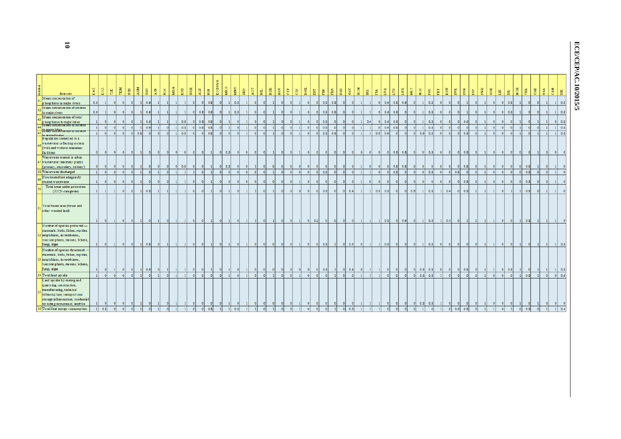# ECE/CEP/AC.10/2015/5 **ECE/CEP/AC.10/2015/5**

| data sets                                                                                                                                                                                                                          | $_{\tt KAZ}$   | $_{\rm K$ G Z           | $_{\rm H}$   | TKM          | UZB            | ARM | $_{\rm GEO}$ | $\mathbf{A} \mathbf{Z} \mathbf{E}$ | $_{\rm BLR}$ | MDA                      | $_{\rm RUS}$ | UKR                      | $\mathbf{A} \mathbf{L} \mathbf{B}$ | KOSOVO<br>$\Xi$ | MKD        | MNE          | $_{\rm SRB}$      | $\mathbf{A}\mathbf{U}\mathbf{T}$ | $_{\rm BH}$                 | $_{\rm BGR}$ | HRV             | CYP | $\mathbb{H}$ | DNK                       | $187$      | $\Xi$        | FRA       | DEU       | $_{\rm GRC}$ | HUN       | 림            | Ã                        | LVA          | $\overline{H}$<br>E | MLT       | $\mathbf{H}$              | POL  | PRT          | ROU                      | <b>SVK</b>   | $_{\rm N\, NS}$ | $_{\rm{ESP}}$ | SWE          |              |           | $_{\rm GBR}$<br>ELT. | Ist.                    | NOR        | $\widetilde{\mathbb{H}}$ | $\rm GHz$ | $_{\rm{CAN}}$<br>USA                |
|------------------------------------------------------------------------------------------------------------------------------------------------------------------------------------------------------------------------------------|----------------|-------------------------|--------------|--------------|----------------|-----|--------------|------------------------------------|--------------|--------------------------|--------------|--------------------------|------------------------------------|-----------------|------------|--------------|-------------------|----------------------------------|-----------------------------|--------------|-----------------|-----|--------------|---------------------------|------------|--------------|-----------|-----------|--------------|-----------|--------------|--------------------------|--------------|---------------------|-----------|---------------------------|------|--------------|--------------------------|--------------|-----------------|---------------|--------------|--------------|-----------|----------------------|-------------------------|------------|--------------------------|-----------|-------------------------------------|
| Mean concentration of<br>phosphates in major rivers                                                                                                                                                                                | 0.4            |                         |              |              | $\theta$       |     | 0.6          |                                    |              |                          |              |                          | $\bullet$                          | 0.8             |            |              | 0.8               |                                  |                             |              |                 |     |              |                           | $\Omega$   | 0.8          | 0.8       |           | $\Omega$     |           |              |                          | 0.6          | 0.8                 | 0.6       | $\mathbf{0}$              | 0.8  | $\Omega$     |                          | $\Omega$     |                 |               |              |              |           | $\bullet$<br>-01     | 0.8                     |            |                          |           | $\mathbf{1}$                        |
| Mean concentration of nitrates                                                                                                                                                                                                     |                |                         |              |              |                |     |              |                                    |              |                          |              | $\sqrt{2}$               |                                    |                 |            |              |                   |                                  |                             |              |                 |     |              | n                         |            |              |           |           |              |           |              |                          |              |                     |           |                           |      | $\Omega$     |                          | $\Omega$     |                 |               |              |              |           |                      |                         |            |                          |           | $\mathbf{1}$                        |
| in major rivers<br>Mean concentration of total                                                                                                                                                                                     | 0.4            |                         |              |              | $\overline{0}$ |     | 0.6          |                                    |              |                          |              |                          | 0.8                                | 0.8             |            |              | 0.8               |                                  |                             |              |                 |     |              |                           | - ol       | 0.8          | 0.8       |           | $\circ$      |           |              | $\circ$                  | 0.6          | 0.8                 | $\circ$   | $\overline{0}$            | 0.8  |              |                          |              |                 |               |              | $\circ$      |           | - Ol                 | 0.8                     |            |                          |           |                                     |
| phosphorus in major lakes<br><b>WEST COREMISTION OF HIS RICE</b>                                                                                                                                                                   |                |                         |              |              |                |     | 0.6          |                                    |              |                          | 0.8          |                          | 0.8                                | 0.8             |            |              | $\circ$           |                                  |                             |              |                 |     |              |                           | $\Omega$   | 0.8          |           |           | $\bullet$    |           | 3.4          | $\mathbf{0}$             | 0.6          | 0.8                 |           | $\Omega$                  | 0.8  | $\Omega$     | $\Omega$                 | $\bullet$    | 0.6             |               |              | $\circ$      |           |                      |                         |            |                          |           | $\theta$                            |
| in esti colaban ration or intrates                                                                                                                                                                                                 | $\mathbf{1}$   |                         |              |              | $\Omega$       |     | 0.6          |                                    |              |                          | 0.8          |                          | 0.8                                | 0.8             |            |              | $\bullet$         |                                  |                             |              |                 |     |              |                           |            | 0.8          |           |           | $\mathbf{0}$ |           |              | $\theta$                 | 0.6          | 0.8                 |           | $\Omega$                  | 0.8  |              |                          |              |                 |               |              | $\circ$      |           |                      |                         |            |                          |           | $1 \quad 0.8$                       |
| n groundwater                                                                                                                                                                                                                      | $\mathbf{1}$   |                         |              |              | $\theta$       | 0.8 |              |                                    |              |                          | 0.8          |                          | $\Omega$                           | 0.8             |            |              | $\Omega$          |                                  |                             |              |                 |     |              |                           | $\sqrt{2}$ |              | $0.8$ 0.8 |           | $\bullet$    |           |              | 0.8                      | 0.6          |                     |           | 0.6<br>$\Omega$           | 0.8  | $\theta$     |                          | $\theta$     | 0.8             |               |              | $\circ$      |           |                      |                         |            |                          |           | $1 \quad 0.8$                       |
| Population connected to a<br>wastewater collecting system<br>(with and without treatment)<br>facilities)<br>Wastewater treated in urban                                                                                            |                |                         |              |              |                |     |              |                                    |              |                          |              | $\overline{0}$           | $\bullet$                          |                 | $0 \t 0.8$ |              | $\circ$           |                                  |                             |              |                 |     |              |                           | $\circ$    | $\bullet$    | $\circ$   |           | $\circ$      | $\bullet$ | $\bullet$    | $\overline{\phantom{0}}$ |              | $0 \t 0.8 \t 0.8$   |           | $\circ$<br>$\bullet$      | 0.8  | $\bullet$    | $\bullet$                |              | $ 0 $ 0.8       |               | $\circ$      | $\circ$      |           |                      |                         |            |                          |           |                                     |
| wastewater treatment plants                                                                                                                                                                                                        |                |                         |              |              |                |     |              |                                    |              |                          |              |                          |                                    |                 |            |              |                   |                                  |                             |              |                 |     |              |                           |            |              |           |           |              |           |              |                          |              |                     |           |                           |      |              |                          |              |                 |               |              |              |           |                      |                         |            |                          |           |                                     |
| (primary, secondary, tertiary)                                                                                                                                                                                                     |                |                         |              |              |                |     | $\circ$      | $\circ$                            | $\circ$      | $\overline{\phantom{0}}$ | 0.8          | -01                      | $\bullet$                          |                 | $\Omega$   | 0.8          | $\bullet$         | - O                              | - 0                         |              |                 |     | $\Omega$     |                           |            | $\circ$      |           |           | $\circ$      |           | - 0          | $\overline{0}$           | $\circ$      | 0.8                 | 0.8       | - 01<br>$\Omega$          | - 01 | - Ol         | -01                      | $\circ$      | 0.8             |               | $\circ$      | $\bullet$    |           | - Ol                 | $\Omega$                | $^{\circ}$ | 0.8                      |           |                                     |
| Was tewater discharged                                                                                                                                                                                                             | $\mathbf{1}$   |                         |              |              |                |     |              |                                    |              |                          |              |                          | $\Omega$                           |                 |            |              | $\Omega$          |                                  |                             |              |                 |     | $\sqrt{2}$   |                           | $\sqrt{2}$ | 0.8          |           |           | $\circ$      |           |              |                          | $\circ$      | 0.8                 |           |                           | 0.8  | $\Omega$     |                          | 0.8          |                 |               |              | $\Omega$     |           |                      |                         |            | 0.8                      |           |                                     |
| Non-treated/not adequately<br>treated wastewater                                                                                                                                                                                   |                |                         |              |              | $\Omega$       |     | $\circ$      |                                    |              |                          |              |                          | $\mathbf{0}$                       |                 |            |              | $\circ$           |                                  |                             |              |                 |     |              |                           | $\Omega$   | $\mathbf{0}$ |           |           | $\mathbf{0}$ |           |              |                          | $\mathbf{0}$ |                     | $\circ$   |                           |      | $\Omega$     |                          | $\circ$      | 0.8             |               |              | $\circ$      |           |                      |                         | x          | 0.8                      |           |                                     |
| Total areas under protection                                                                                                                                                                                                       |                |                         |              |              | $\mathbf{0}$   |     |              |                                    |              |                          |              |                          |                                    |                 |            |              |                   |                                  |                             |              |                 |     | $\mathbf{0}$ |                           |            | 0.8          | $\circ$   |           |              |           |              |                          |              |                     |           |                           |      |              |                          |              |                 |               |              |              |           |                      |                         |            |                          |           |                                     |
| (IUCN-categories)                                                                                                                                                                                                                  |                |                         |              |              |                |     | 0.8          |                                    |              |                          |              |                          | $\circ$                            |                 |            |              | $\circ$           |                                  |                             |              |                 |     |              |                           | $\circ$    |              |           |           | 0.4          |           | $\mathbf{1}$ | $0.8$ 0.8                |              |                     | -ol       | 0.6                       | 0.8  | $\mathbf{H}$ | 0.4                      | $\circ$      | 0.8             |               |              |              |           |                      |                         |            | 0.8                      |           |                                     |
| Total forest area (forest and<br>other wooded land)                                                                                                                                                                                |                |                         |              |              |                |     |              |                                    |              |                          |              |                          |                                    |                 |            |              |                   |                                  |                             |              |                 |     |              |                           | 0.2        |              |           |           |              |           |              |                          | 0.8          | $\bullet$           | 0.6       | $\circ$                   | 0.8  | $\mathbf{1}$ | 0.4                      |              |                 |               |              |              |           |                      |                         |            | 0.8                      |           |                                     |
| Number of species protected -<br>mammals, birds, fishes, reptiles,<br>2 amphibians, invertebrates,<br>vascular plants, mosses, lichens,<br>fungi, algae                                                                            |                | $\overline{\mathbf{0}}$ | $\mathbf{1}$ | - O I        | $\bullet$      |     | 0.6          | $\bullet$                          | $\mathbf{1}$ | -11                      | -11          | $\overline{\phantom{0}}$ | $\bullet$                          | - 11            | $\circ$    | $\mathbf{1}$ | $\bullet$<br>- 11 |                                  | $\bullet$<br>$\overline{0}$ |              | $\circ$<br>- 01 |     | $\circ$      | $\bullet$<br>$\mathbf{1}$ | $\bullet$  | 0.8          |           | $\bullet$ | 0.4          | $\bullet$ | $\mathbf{1}$ | $1 \mid 0.8$             |              | $\bullet$           | $\bullet$ | $\bullet$<br>$\mathbf{1}$ | 0.8  | $\bullet$    | $\overline{\phantom{0}}$ | $\bullet$    | - O I           |               | $\circ$      | $\mathbf{1}$ | $\bullet$ |                      | $\overline{\mathbf{0}}$ | - 1        |                          |           | $1 \vert 0.8 \vert$<br>$\mathbf{1}$ |
| Number of species threatened -<br>mammals, birds, fishes, reptiles,<br>3 amphibians, invertebrates,<br>vascular plants, mosses, lichens,<br>fungi, algae                                                                           |                |                         |              |              | $\circ$        |     | 0.6          |                                    |              |                          |              |                          |                                    |                 |            |              | - 01              |                                  |                             |              |                 |     | $\circ$      |                           | $\circ$    | 0.8          |           |           | 0.4          |           |              |                          | $\circ$      |                     | - 01      | 0.8<br>$\bullet$          | 0.8  | $\circ$      | -01                      | $\bullet$    | 0.8             |               | $\circ$      | $\mathbf{1}$ |           | - O I                | 0.8                     |            |                          |           | $1 \mid 0.8$                        |
| Total land uptake                                                                                                                                                                                                                  | $\overline{1}$ |                         |              | $\mathbf{0}$ | $\Omega$       |     | $\circ$      |                                    |              |                          |              |                          | $\circ$                            | - Ol            |            |              | $\bullet$         |                                  |                             |              |                 |     |              |                           |            | $\mathbf{0}$ |           |           | $\bullet$    |           |              |                          | $\circ$      |                     | $\circ$   | 0.8<br>$\overline{0}$     | 0.8  |              |                          | $\mathbf{0}$ |                 |               |              | $\circ$      |           |                      |                         |            | 0.8                      |           | 0 0.6                               |
| Land uptake by mining and<br>quarrying, construction,<br>manufacturing, technical<br>infrastructure, transport and<br>storage infrastructure, residential<br>including recreational, landfills<br>6 Total final energy consumption |                |                         |              |              |                |     |              |                                    |              |                          |              |                          |                                    |                 |            |              |                   |                                  |                             |              |                 |     |              |                           |            |              |           |           |              |           |              |                          |              |                     |           | 0.8                       | 0.8  |              |                          |              |                 |               |              |              |           |                      |                         |            |                          |           |                                     |
|                                                                                                                                                                                                                                    |                | 0.8                     |              |              |                |     |              |                                    |              |                          |              |                          | $\Omega$                           | 0.8             |            | 0.8          |                   |                                  |                             |              |                 |     |              |                           |            |              |           |           | 0.6          |           |              |                          |              |                     |           |                           |      |              | $\circ$                  | 0.6          | 0.8             |               | $\mathbf{0}$ |              |           |                      |                         |            | 0.8                      |           |                                     |

**10**